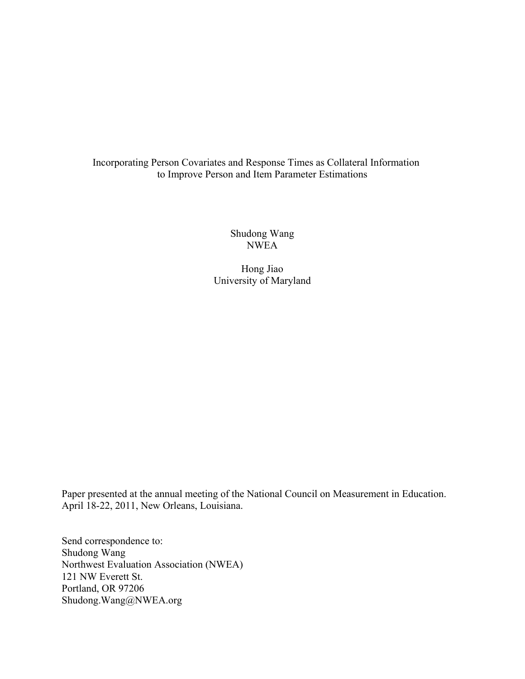# Incorporating Person Covariates and Response Times as Collateral Information to Improve Person and Item Parameter Estimations

Shudong Wang NWEA

Hong Jiao University of Maryland

Paper presented at the annual meeting of the National Council on Measurement in Education. April 18-22, 2011, New Orleans, Louisiana.

Send correspondence to: Shudong Wang Northwest Evaluation Association (NWEA) 121 NW Everett St. Portland, OR 97206 Shudong.Wang@NWEA.org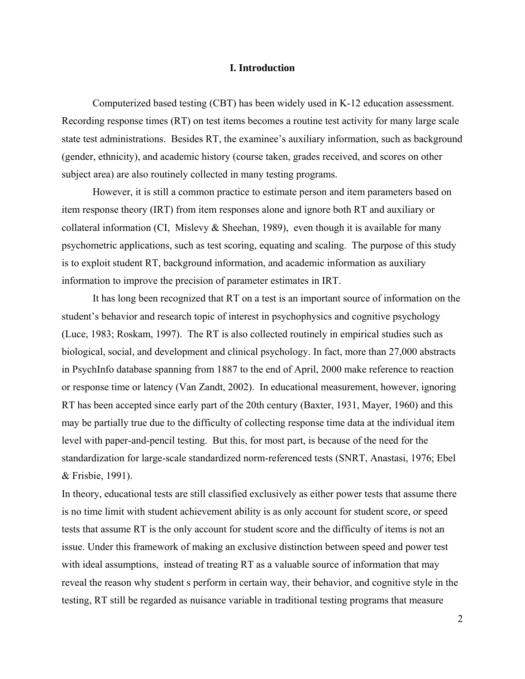### **I. Introduction**

Computerized based testing (CBT) has been widely used in K-12 education assessment. Recording response times (RT) on test items becomes a routine test activity for many large scale state test administrations. Besides RT, the examinee's auxiliary information, such as background (gender, ethnicity), and academic history (course taken, grades received, and scores on other subject area) are also routinely collected in many testing programs.

However, it is still a common practice to estimate person and item parameters based on item response theory (IRT) from item responses alone and ignore both RT and auxiliary or collateral information (CI, Mislevy & Sheehan, 1989), even though it is available for many psychometric applications, such as test scoring, equating and scaling. The purpose of this study is to exploit student RT, background information, and academic information as auxiliary information to improve the precision of parameter estimates in IRT.

It has long been recognized that RT on a test is an important source of information on the student's behavior and research topic of interest in psychophysics and cognitive psychology (Luce, 1983; Roskam, 1997). The RT is also collected routinely in empirical studies such as biological, social, and development and clinical psychology. In fact, more than 27,000 abstracts in PsychInfo database spanning from 1887 to the end of April, 2000 make reference to reaction or response time or latency (Van Zandt, 2002). In educational measurement, however, ignoring RT has been accepted since early part of the 20th century (Baxter, 1931, Mayer, 1960) and this may be partially true due to the difficulty of collecting response time data at the individual item level with paper-and-pencil testing. But this, for most part, is because of the need for the standardization for large-scale standardized norm-referenced tests (SNRT, Anastasi, 1976; Ebel & Frisbie, 1991).

In theory, educational tests are still classified exclusively as either power tests that assume there is no time limit with student achievement ability is as only account for student score, or speed tests that assume RT is the only account for student score and the difficulty of items is not an issue. Under this framework of making an exclusive distinction between speed and power test with ideal assumptions, instead of treating RT as a valuable source of information that may reveal the reason why student s perform in certain way, their behavior, and cognitive style in the testing, RT still be regarded as nuisance variable in traditional testing programs that measure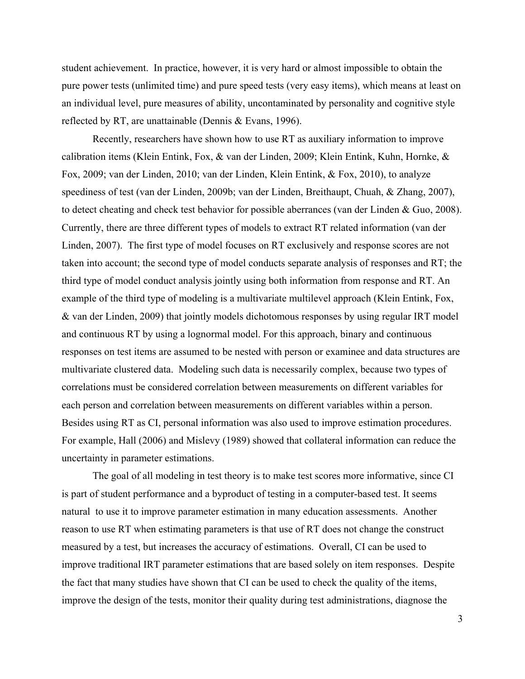student achievement. In practice, however, it is very hard or almost impossible to obtain the pure power tests (unlimited time) and pure speed tests (very easy items), which means at least on an individual level, pure measures of ability, uncontaminated by personality and cognitive style reflected by RT, are unattainable (Dennis & Evans, 1996).

Recently, researchers have shown how to use RT as auxiliary information to improve calibration items (Klein Entink, Fox, & van der Linden, 2009; Klein Entink, Kuhn, Hornke, & Fox, 2009; van der Linden, 2010; van der Linden, Klein Entink, & Fox, 2010), to analyze speediness of test (van der Linden, 2009b; van der Linden, Breithaupt, Chuah, & Zhang, 2007), to detect cheating and check test behavior for possible aberrances (van der Linden & Guo, 2008). Currently, there are three different types of models to extract RT related information (van der Linden, 2007). The first type of model focuses on RT exclusively and response scores are not taken into account; the second type of model conducts separate analysis of responses and RT; the third type of model conduct analysis jointly using both information from response and RT. An example of the third type of modeling is a multivariate multilevel approach (Klein Entink, Fox, & van der Linden, 2009) that jointly models dichotomous responses by using regular IRT model and continuous RT by using a lognormal model. For this approach, binary and continuous responses on test items are assumed to be nested with person or examinee and data structures are multivariate clustered data. Modeling such data is necessarily complex, because two types of correlations must be considered correlation between measurements on different variables for each person and correlation between measurements on different variables within a person. Besides using RT as CI, personal information was also used to improve estimation procedures. For example, Hall (2006) and Mislevy (1989) showed that collateral information can reduce the uncertainty in parameter estimations.

The goal of all modeling in test theory is to make test scores more informative, since CI is part of student performance and a byproduct of testing in a computer-based test. It seems natural to use it to improve parameter estimation in many education assessments. Another reason to use RT when estimating parameters is that use of RT does not change the construct measured by a test, but increases the accuracy of estimations. Overall, CI can be used to improve traditional IRT parameter estimations that are based solely on item responses. Despite the fact that many studies have shown that CI can be used to check the quality of the items, improve the design of the tests, monitor their quality during test administrations, diagnose the

3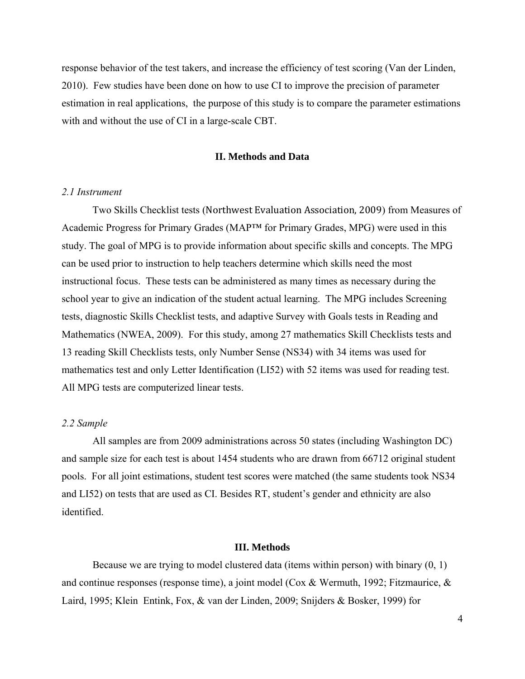response behavior of the test takers, and increase the efficiency of test scoring (Van der Linden, 2010). Few studies have been done on how to use CI to improve the precision of parameter estimation in real applications, the purpose of this study is to compare the parameter estimations with and without the use of CI in a large-scale CBT.

#### **II. Methods and Data**

#### *2.1 Instrument*

 Two Skills Checklist tests (Northwest Evaluation Association, 2009) from Measures of Academic Progress for Primary Grades (MAP™ for Primary Grades, MPG) were used in this study. The goal of MPG is to provide information about specific skills and concepts. The MPG can be used prior to instruction to help teachers determine which skills need the most instructional focus. These tests can be administered as many times as necessary during the school year to give an indication of the student actual learning. The MPG includes Screening tests, diagnostic Skills Checklist tests, and adaptive Survey with Goals tests in Reading and Mathematics (NWEA, 2009). For this study, among 27 mathematics Skill Checklists tests and 13 reading Skill Checklists tests, only Number Sense (NS34) with 34 items was used for mathematics test and only Letter Identification (LI52) with 52 items was used for reading test. All MPG tests are computerized linear tests.

# *2.2 Sample*

All samples are from 2009 administrations across 50 states (including Washington DC) and sample size for each test is about 1454 students who are drawn from 66712 original student pools. For all joint estimations, student test scores were matched (the same students took NS34 and LI52) on tests that are used as CI. Besides RT, student's gender and ethnicity are also identified.

# **III. Methods**

Because we are trying to model clustered data (items within person) with binary (0, 1) and continue responses (response time), a joint model (Cox & Wermuth, 1992; Fitzmaurice, & Laird, 1995; Klein Entink, Fox, & van der Linden, 2009; Snijders & Bosker, 1999) for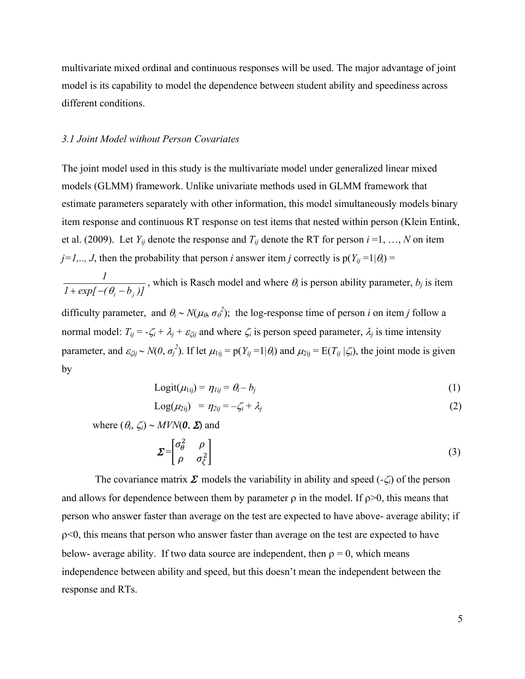multivariate mixed ordinal and continuous responses will be used. The major advantage of joint model is its capability to model the dependence between student ability and speediness across different conditions.

## *3.1 Joint Model without Person Covariates*

The joint model used in this study is the multivariate model under generalized linear mixed models (GLMM) framework. Unlike univariate methods used in GLMM framework that estimate parameters separately with other information, this model simultaneously models binary item response and continuous RT response on test items that nested within person (Klein Entink, et al. (2009). Let  $Y_{ij}$  denote the response and  $T_{ij}$  denote the RT for person  $i = 1, ..., N$  on item  $j=1,.., J$ , then the probability that person *i* answer item *j* correctly is  $p(Y_{ij}=1|\theta_i)$  =

 $1 + \exp[-(\theta_i - b_i)]$ *1*  $+ exp[-(\theta_i - b_j)]$ , which is Rasch model and where  $\theta_i$  is person ability parameter,  $b_j$  is item

difficulty parameter, and  $\theta_i \sim N(\mu_\theta, \sigma_\theta^2)$ ; the log-response time of person *i* on item *j* follow a normal model:  $T_{ij} = -\zeta_i + \lambda_j + \varepsilon_{\zeta ij}$  and where  $\zeta_i$  is person speed parameter,  $\lambda_j$  is time intensity parameter, and  $\varepsilon_{\zeta ij} \sim N(\theta, \sigma_j^2)$ . If let  $\mu_{1ij} = p(Y_{ij} = 1 | \theta_i)$  and  $\mu_{2ij} = E(T_{ij} | \zeta_i)$ , the joint mode is given by

$$
Logit(\mu_{1ij}) = \eta_{Iij} = \theta_i - b_j \tag{1}
$$

$$
Log(\mu_{2ij}) = \eta_{2ij} = -\zeta_i + \lambda_j \tag{2}
$$

where  $(\theta_i, \zeta_i) \sim MVN(0, \Sigma)$  and

$$
\Sigma = \begin{bmatrix} \sigma_{\theta}^{2} & \rho \\ \rho & \sigma_{\zeta}^{2} \end{bmatrix}
$$
 (3)

The covariance matrix  $\Sigma$  models the variability in ability and speed  $(-\zeta_i)$  of the person and allows for dependence between them by parameter  $\rho$  in the model. If  $\rho$ >0, this means that person who answer faster than average on the test are expected to have above- average ability; if ρ<0, this means that person who answer faster than average on the test are expected to have below- average ability. If two data source are independent, then  $\rho = 0$ , which means independence between ability and speed, but this doesn't mean the independent between the response and RTs.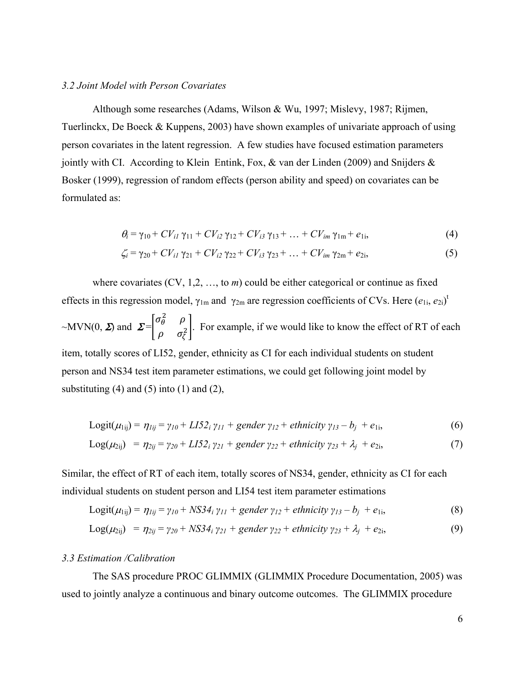### *3.2 Joint Model with Person Covariates*

 Although some researches (Adams, Wilson & Wu, 1997; Mislevy, 1987; Rijmen, Tuerlinckx, De Boeck & Kuppens, 2003) have shown examples of univariate approach of using person covariates in the latent regression. A few studies have focused estimation parameters jointly with CI. According to Klein Entink, Fox, & van der Linden (2009) and Snijders & Bosker (1999), regression of random effects (person ability and speed) on covariates can be formulated as:

$$
\theta_{i} = \gamma_{10} + CV_{i1} \gamma_{11} + CV_{i2} \gamma_{12} + CV_{i3} \gamma_{13} + ... + CV_{im} \gamma_{1m} + e_{1i}, \tag{4}
$$

$$
\zeta_i = \gamma_{20} + CV_{i1} \gamma_{21} + CV_{i2} \gamma_{22} + CV_{i3} \gamma_{23} + \dots + CV_{im} \gamma_{2m} + e_{2i},
$$
\n(5)

where covariates (CV, 1,2, ..., to *m*) could be either categorical or continue as fixed effects in this regression model,  $\gamma_{lm}$  and  $\gamma_{2m}$  are regression coefficients of CVs. Here  $(e_{1i}, e_{2i})^t$  $\sim$ MVN(0,  $\Sigma$ ) and  $\Sigma = \begin{bmatrix} \sigma_{\theta}^{2} & \rho_{\theta} \\ \vdots & \vdots \end{bmatrix}$  $\begin{bmatrix} 6 & r \\ \rho & \sigma_{\zeta}^2 \end{bmatrix}$ . For example, if we would like to know the effect of RT of each

item, totally scores of LI52, gender, ethnicity as CI for each individual students on student person and NS34 test item parameter estimations, we could get following joint model by substituting  $(4)$  and  $(5)$  into  $(1)$  and  $(2)$ ,

$$
Logit(\mu_{1ij}) = \eta_{1ij} = \gamma_{10} + L I 5 2_i \gamma_{11} + gender \gamma_{12} + ethnicity \gamma_{13} - b_j + e_{1i},
$$
\n(6)

$$
Log(\mu_{2ij}) = \eta_{2ij} = \gamma_{20} + L I 5 2_i \gamma_{21} + gender \gamma_{22} + ethnicity \gamma_{23} + \lambda_j + e_{2i}, \qquad (7)
$$

Similar, the effect of RT of each item, totally scores of NS34, gender, ethnicity as CI for each individual students on student person and LI54 test item parameter estimations

$$
Logit(\mu_{1ij}) = \eta_{1ij} = \gamma_{10} + NS34_i \gamma_{11} + gender \gamma_{12} + ethnicity \gamma_{13} - b_j + e_{1i},
$$
\n(8)

$$
Log(\mu_{2ij}) = \eta_{2ij} = \gamma_{20} + NS34_i \gamma_{21} + gender \gamma_{22} + ethnicity \gamma_{23} + \lambda_j + e_{2i},
$$
\n(9)

#### *3.3 Estimation /Calibration*

The SAS procedure PROC GLIMMIX (GLIMMIX Procedure Documentation, 2005) was used to jointly analyze a continuous and binary outcome outcomes. The GLIMMIX procedure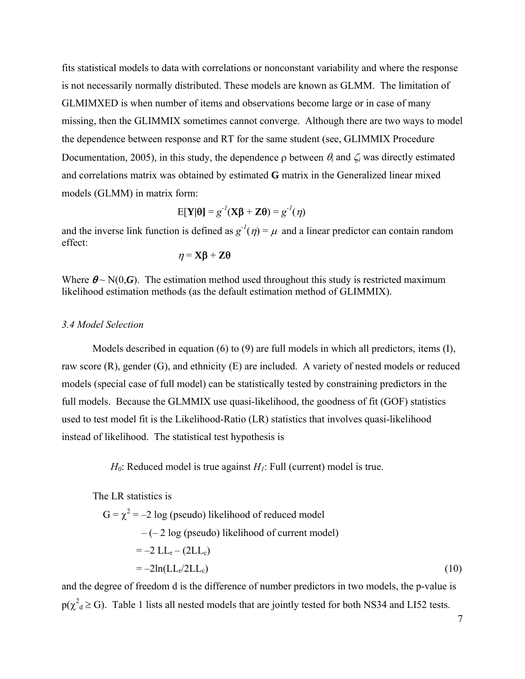fits statistical models to data with correlations or nonconstant variability and where the response is not necessarily normally distributed. These models are known as GLMM. The limitation of GLMIMXED is when number of items and observations become large or in case of many missing, then the GLIMMIX sometimes cannot converge. Although there are two ways to model the dependence between response and RT for the same student (see, GLIMMIX Procedure Documentation, 2005), in this study, the dependence  $\rho$  between  $\theta_i$  and  $\zeta_i$  was directly estimated and correlations matrix was obtained by estimated **G** matrix in the Generalized linear mixed models (GLMM) in matrix form:

$$
E[\mathbf{Y}|\boldsymbol{\theta}] = g^{-1}(\mathbf{X}\boldsymbol{\beta} + \mathbf{Z}\boldsymbol{\theta}) = g^{-1}(\eta)
$$

and the inverse link function is defined as  $g^{-1}(\eta) = \mu$  and a linear predictor can contain random effect:

$$
\eta = \mathbf{X}\boldsymbol{\beta} + \mathbf{Z}\boldsymbol{\theta}
$$

Where  $\theta \sim N(0,\mathbf{G})$ . The estimation method used throughout this study is restricted maximum likelihood estimation methods (as the default estimation method of GLIMMIX).

# *3.4 Model Selection*

Models described in equation (6) to (9) are full models in which all predictors, items (I), raw score (R), gender (G), and ethnicity (E) are included. A variety of nested models or reduced models (special case of full model) can be statistically tested by constraining predictors in the full models. Because the GLMMIX use quasi-likelihood, the goodness of fit (GOF) statistics used to test model fit is the Likelihood-Ratio (LR) statistics that involves quasi-likelihood instead of likelihood. The statistical test hypothesis is

 $H_0$ : Reduced model is true against  $H_1$ : Full (current) model is true.

The LR statistics is

 $G = \chi^2 = -2 \log$  (pseudo) likelihood of reduced model  $-(-2 \log(pseudo))$  likelihood of current model)  $=-2$  LL<sub>r</sub> – (2LL<sub>c</sub>)  $=-2\ln(L_{\rm F}/2LL_{\rm c})$  (10)

and the degree of freedom d is the difference of number predictors in two models, the p-value is  $p(\chi^2_d \ge G)$ . Table 1 lists all nested models that are jointly tested for both NS34 and LI52 tests.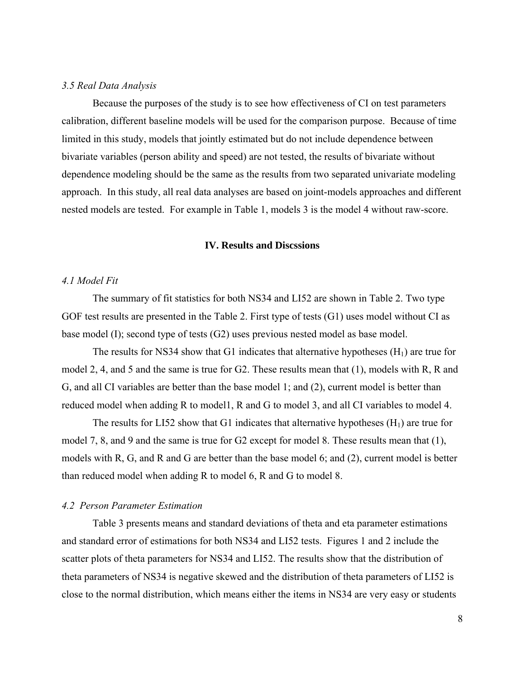# *3.5 Real Data Analysis*

Because the purposes of the study is to see how effectiveness of CI on test parameters calibration, different baseline models will be used for the comparison purpose. Because of time limited in this study, models that jointly estimated but do not include dependence between bivariate variables (person ability and speed) are not tested, the results of bivariate without dependence modeling should be the same as the results from two separated univariate modeling approach. In this study, all real data analyses are based on joint-models approaches and different nested models are tested. For example in Table 1, models 3 is the model 4 without raw-score.

# **IV. Results and Discssions**

## *4.1 Model Fit*

The summary of fit statistics for both NS34 and LI52 are shown in Table 2. Two type GOF test results are presented in the Table 2. First type of tests (G1) uses model without CI as base model (I); second type of tests (G2) uses previous nested model as base model.

The results for NS34 show that G1 indicates that alternative hypotheses  $(H_1)$  are true for model 2, 4, and 5 and the same is true for G2. These results mean that (1), models with R, R and G, and all CI variables are better than the base model 1; and (2), current model is better than reduced model when adding R to model1, R and G to model 3, and all CI variables to model 4.

The results for LI52 show that G1 indicates that alternative hypotheses  $(H<sub>1</sub>)$  are true for model 7, 8, and 9 and the same is true for G2 except for model 8. These results mean that (1), models with R, G, and R and G are better than the base model 6; and (2), current model is better than reduced model when adding R to model 6, R and G to model 8.

### *4.2 Person Parameter Estimation*

Table 3 presents means and standard deviations of theta and eta parameter estimations and standard error of estimations for both NS34 and LI52 tests. Figures 1 and 2 include the scatter plots of theta parameters for NS34 and LI52. The results show that the distribution of theta parameters of NS34 is negative skewed and the distribution of theta parameters of LI52 is close to the normal distribution, which means either the items in NS34 are very easy or students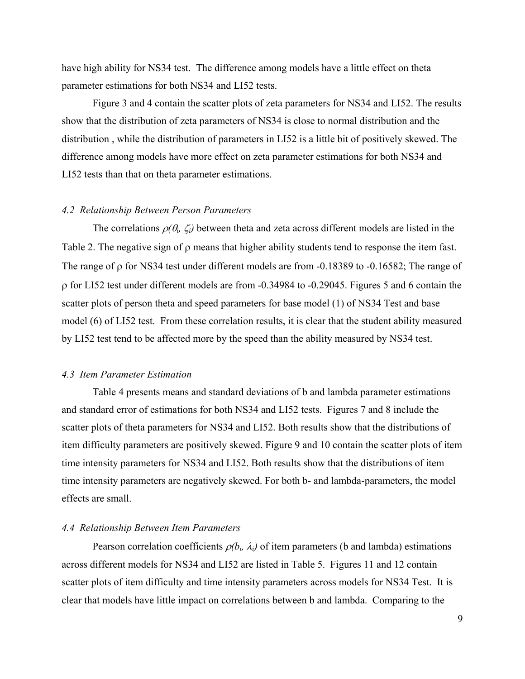have high ability for NS34 test. The difference among models have a little effect on theta parameter estimations for both NS34 and LI52 tests.

Figure 3 and 4 contain the scatter plots of zeta parameters for NS34 and LI52. The results show that the distribution of zeta parameters of NS34 is close to normal distribution and the distribution , while the distribution of parameters in LI52 is a little bit of positively skewed. The difference among models have more effect on zeta parameter estimations for both NS34 and LI52 tests than that on theta parameter estimations.

#### *4.2 Relationship Between Person Parameters*

The correlations  $\rho(\theta_i, \zeta_i)$  between theta and zeta across different models are listed in the Table 2. The negative sign of ρ means that higher ability students tend to response the item fast. The range of ρ for NS34 test under different models are from -0.18389 to -0.16582; The range of ρ for LI52 test under different models are from -0.34984 to -0.29045. Figures 5 and 6 contain the scatter plots of person theta and speed parameters for base model (1) of NS34 Test and base model (6) of LI52 test. From these correlation results, it is clear that the student ability measured by LI52 test tend to be affected more by the speed than the ability measured by NS34 test.

# *4.3 Item Parameter Estimation*

Table 4 presents means and standard deviations of b and lambda parameter estimations and standard error of estimations for both NS34 and LI52 tests. Figures 7 and 8 include the scatter plots of theta parameters for NS34 and LI52. Both results show that the distributions of item difficulty parameters are positively skewed. Figure 9 and 10 contain the scatter plots of item time intensity parameters for NS34 and LI52. Both results show that the distributions of item time intensity parameters are negatively skewed. For both b- and lambda-parameters, the model effects are small.

# *4.4 Relationship Between Item Parameters*

Pearson correlation coefficients  $\rho(b_i, \lambda_i)$  of item parameters (b and lambda) estimations across different models for NS34 and LI52 are listed in Table 5. Figures 11 and 12 contain scatter plots of item difficulty and time intensity parameters across models for NS34 Test. It is clear that models have little impact on correlations between b and lambda. Comparing to the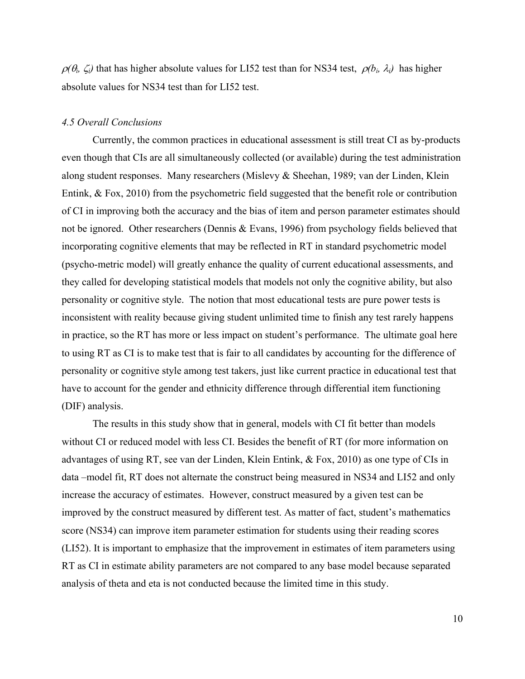$\rho(\theta_i, \zeta_i)$  that has higher absolute values for LI52 test than for NS34 test,  $\rho(b_i, \lambda_i)$  has higher absolute values for NS34 test than for LI52 test.

# *4.5 Overall Conclusions*

 Currently, the common practices in educational assessment is still treat CI as by-products even though that CIs are all simultaneously collected (or available) during the test administration along student responses. Many researchers (Mislevy & Sheehan, 1989; van der Linden, Klein Entink, & Fox, 2010) from the psychometric field suggested that the benefit role or contribution of CI in improving both the accuracy and the bias of item and person parameter estimates should not be ignored. Other researchers (Dennis & Evans, 1996) from psychology fields believed that incorporating cognitive elements that may be reflected in RT in standard psychometric model (psycho-metric model) will greatly enhance the quality of current educational assessments, and they called for developing statistical models that models not only the cognitive ability, but also personality or cognitive style. The notion that most educational tests are pure power tests is inconsistent with reality because giving student unlimited time to finish any test rarely happens in practice, so the RT has more or less impact on student's performance. The ultimate goal here to using RT as CI is to make test that is fair to all candidates by accounting for the difference of personality or cognitive style among test takers, just like current practice in educational test that have to account for the gender and ethnicity difference through differential item functioning (DIF) analysis.

 The results in this study show that in general, models with CI fit better than models without CI or reduced model with less CI. Besides the benefit of RT (for more information on advantages of using RT, see van der Linden, Klein Entink, & Fox, 2010) as one type of CIs in data –model fit, RT does not alternate the construct being measured in NS34 and LI52 and only increase the accuracy of estimates. However, construct measured by a given test can be improved by the construct measured by different test. As matter of fact, student's mathematics score (NS34) can improve item parameter estimation for students using their reading scores (LI52). It is important to emphasize that the improvement in estimates of item parameters using RT as CI in estimate ability parameters are not compared to any base model because separated analysis of theta and eta is not conducted because the limited time in this study.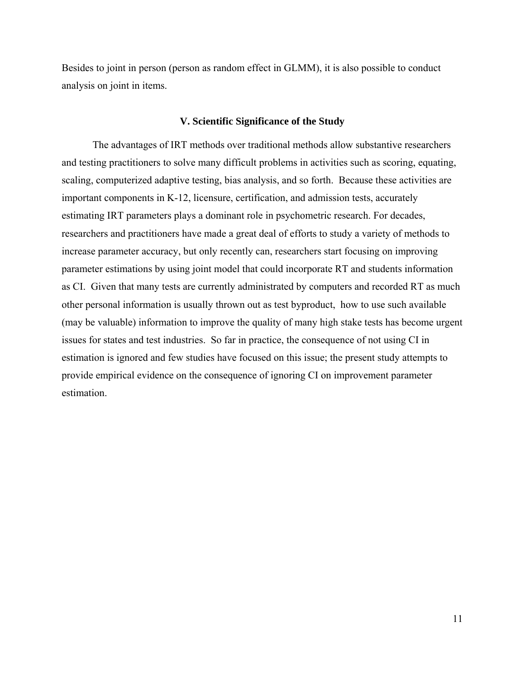Besides to joint in person (person as random effect in GLMM), it is also possible to conduct analysis on joint in items.

#### **V. Scientific Significance of the Study**

 The advantages of IRT methods over traditional methods allow substantive researchers and testing practitioners to solve many difficult problems in activities such as scoring, equating, scaling, computerized adaptive testing, bias analysis, and so forth. Because these activities are important components in K-12, licensure, certification, and admission tests, accurately estimating IRT parameters plays a dominant role in psychometric research. For decades, researchers and practitioners have made a great deal of efforts to study a variety of methods to increase parameter accuracy, but only recently can, researchers start focusing on improving parameter estimations by using joint model that could incorporate RT and students information as CI. Given that many tests are currently administrated by computers and recorded RT as much other personal information is usually thrown out as test byproduct, how to use such available (may be valuable) information to improve the quality of many high stake tests has become urgent issues for states and test industries. So far in practice, the consequence of not using CI in estimation is ignored and few studies have focused on this issue; the present study attempts to provide empirical evidence on the consequence of ignoring CI on improvement parameter estimation.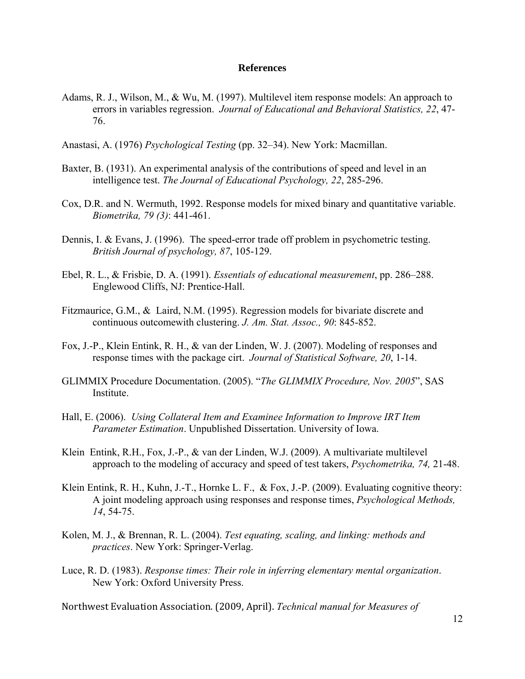## **References**

- Adams, R. J., Wilson, M., & Wu, M. (1997). Multilevel item response models: An approach to errors in variables regression. *Journal of Educational and Behavioral Statistics, 22*, 47- 76.
- Anastasi, A. (1976) *Psychological Testing* (pp. 32–34). New York: Macmillan.
- Baxter, B. (1931). An experimental analysis of the contributions of speed and level in an intelligence test. *The Journal of Educational Psychology, 22*, 285-296.
- Cox, D.R. and N. Wermuth, 1992. Response models for mixed binary and quantitative variable. *Biometrika, 79 (3)*: 441-461.
- Dennis, I. & Evans, J. (1996). The speed-error trade off problem in psychometric testing. *British Journal of psychology, 87*, 105-129.
- Ebel, R. L., & Frisbie, D. A. (1991). *Essentials of educational measurement*, pp. 286–288. Englewood Cliffs, NJ: Prentice-Hall.
- Fitzmaurice, G.M., & Laird, N.M. (1995). Regression models for bivariate discrete and continuous outcomewith clustering. *J. Am. Stat. Assoc., 90*: 845-852.
- Fox, J.-P., Klein Entink, R. H., & van der Linden, W. J. (2007). Modeling of responses and response times with the package cirt. *Journal of Statistical Software, 20*, 1-14.
- GLIMMIX Procedure Documentation. (2005). "*The GLIMMIX Procedure, Nov. 2005*", SAS Institute.
- Hall, E. (2006). *Using Collateral Item and Examinee Information to Improve IRT Item Parameter Estimation*. Unpublished Dissertation. University of Iowa.
- Klein Entink, R.H., Fox, J.-P., & van der Linden, W.J. (2009). A multivariate multilevel approach to the modeling of accuracy and speed of test takers, *Psychometrika, 74,* 21-48.
- Klein Entink, R. H., Kuhn, J.-T., Hornke L. F., & Fox, J.-P. (2009). Evaluating cognitive theory: A joint modeling approach using responses and response times, *Psychological Methods, 14*, 54-75.
- Kolen, M. J., & Brennan, R. L. (2004). *Test equating, scaling, and linking: methods and practices*. New York: Springer-Verlag.
- Luce, R. D. (1983). *Response times: Their role in inferring elementary mental organization*. New York: Oxford University Press.

Northwest Evaluation Association. (2009, April). *Technical manual for Measures of*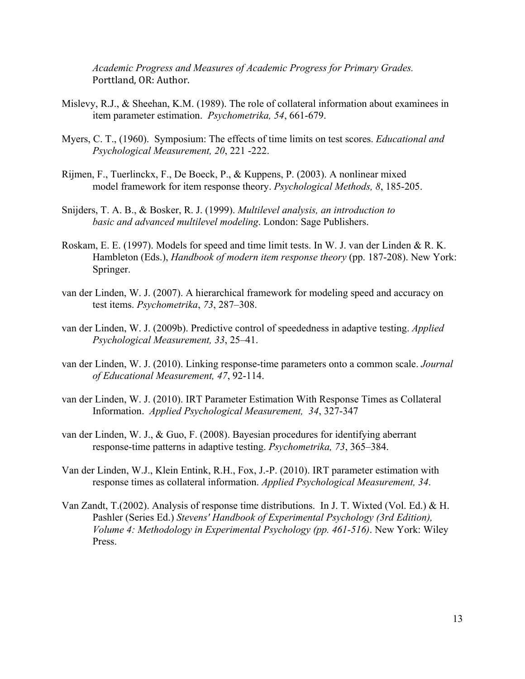*Academic Progress and Measures of Academic Progress for Primary Grades.*  Porttland, OR: Author.

- Mislevy, R.J., & Sheehan, K.M. (1989). The role of collateral information about examinees in item parameter estimation. *Psychometrika, 54*, 661-679.
- Myers, C. T., (1960). Symposium: The effects of time limits on test scores. *Educational and Psychological Measurement, 20*, 221 -222.
- Rijmen, F., Tuerlinckx, F., De Boeck, P., & Kuppens, P. (2003). A nonlinear mixed model framework for item response theory. *Psychological Methods, 8*, 185-205.
- Snijders, T. A. B., & Bosker, R. J. (1999). *Multilevel analysis, an introduction to basic and advanced multilevel modeling*. London: Sage Publishers.
- Roskam, E. E. (1997). Models for speed and time limit tests. In W. J. van der Linden & R. K. Hambleton (Eds.), *Handbook of modern item response theory* (pp. 187-208). New York: Springer.
- van der Linden, W. J. (2007). A hierarchical framework for modeling speed and accuracy on test items. *Psychometrika*, *73*, 287–308.
- van der Linden, W. J. (2009b). Predictive control of speededness in adaptive testing. *Applied Psychological Measurement, 33*, 25–41.
- van der Linden, W. J. (2010). Linking response-time parameters onto a common scale. *Journal of Educational Measurement, 47*, 92-114.
- van der Linden, W. J. (2010). IRT Parameter Estimation With Response Times as Collateral Information. *Applied Psychological Measurement, 34*, 327-347
- van der Linden, W. J., & Guo, F. (2008). Bayesian procedures for identifying aberrant response-time patterns in adaptive testing. *Psychometrika, 73*, 365–384.
- Van der Linden, W.J., Klein Entink, R.H., Fox, J.-P. (2010). IRT parameter estimation with response times as collateral information. *Applied Psychological Measurement, 34*.
- [Van Zandt, T.\(2002\).](http://maigret.psy.ohio-state.edu/%7Etrish/Research/stevens.ps) Analysis of response time distributions. In J. T. Wixted (Vol. Ed.) & H. Pashler (Series Ed.) *Stevens' Handbook of Experimental Psychology (3rd Edition), Volume 4: Methodology in Experimental Psychology (pp. 461-516)*. New York: Wiley Press.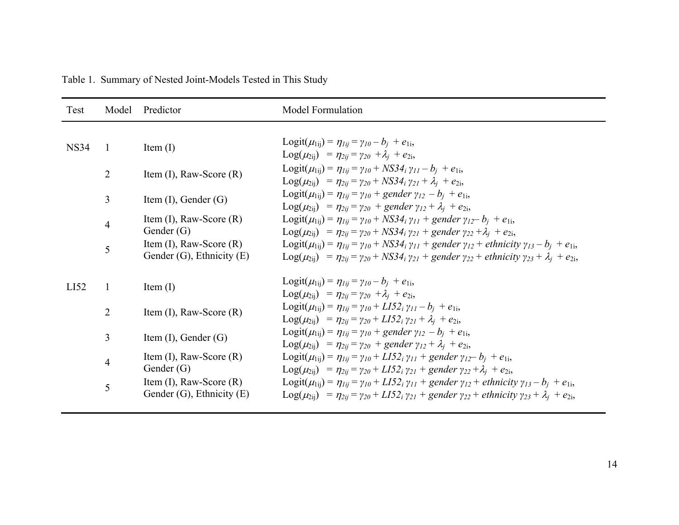| Test        | Model          | Predictor                                                      | <b>Model Formulation</b>                                                                                                                                                                                                                                                                          |
|-------------|----------------|----------------------------------------------------------------|---------------------------------------------------------------------------------------------------------------------------------------------------------------------------------------------------------------------------------------------------------------------------------------------------|
| <b>NS34</b> | $\overline{1}$ | Item $(I)$                                                     | Logit( $\mu_{1ij}$ ) = $\eta_{1ij} = \gamma_{10} - b_i + e_{1i}$ ,<br>$Log(\mu_{2ii}) = \eta_{2ii} = \gamma_{20} + \lambda_i + e_{2i}$                                                                                                                                                            |
|             | $\overline{2}$ | Item $(I)$ , Raw-Score $(R)$                                   | Logit( $\mu_{1ij}$ ) = $\eta_{1ij}$ = $\gamma_{10}$ + NS34 <sub>i</sub> $\gamma_{11}$ – $b_i$ + $e_{1i}$ ,<br>$\text{Log}(\mu_{2ii}) = \eta_{2ii} = \gamma_{20} + NS34_i \gamma_{21} + \lambda_i + e_{2i}$                                                                                        |
|             | 3              | Item $(I)$ , Gender $(G)$                                      | Logit( $\mu_{1ii}$ ) = $\eta_{1ii}$ = $\gamma_{10}$ + gender $\gamma_{12}$ – $b_i$ + $e_{1i}$ ,<br>$\text{Log}(\mu_{2ii}) = \eta_{2ii} = \gamma_{20} + \text{gender } \gamma_{12} + \lambda_i + e_{2i}$                                                                                           |
|             | 4              | Item $(I)$ , Raw-Score $(R)$<br>Gender $(G)$                   | Logit( $\mu_{1ij}$ ) = $\eta_{1ij}$ = $\gamma_{10}$ + NS34 <sub>i</sub> $\gamma_{11}$ + gender $\gamma_{12}$ – $b_i$ + $e_{1i}$ ,<br>$\text{Log}(\mu_{2ii}) = \eta_{2ii} = \gamma_{20} + NS34_i \gamma_{21} + gender \gamma_{22} + \lambda_i + e_{2i}$                                            |
|             | 5              | Item $(I)$ , Raw-Score $(R)$<br>Gender $(G)$ , Ethnicity $(E)$ | Logit( $\mu_{1ii}$ ) = $\eta_{1ii}$ = $\gamma_{10}$ + NS34 <sub>i</sub> $\gamma_{11}$ + gender $\gamma_{12}$ + ethnicity $\gamma_{13}$ – $b_i$ + $e_{1i}$ ,<br>$Log(\mu_{2ii}) = \eta_{2ii} = \gamma_{20} + NS34_i \gamma_{21} + gender \gamma_{22} + ethnicity \gamma_{23} + \lambda_i + e_{2i}$ |
| LI52        | $\mathbf{1}$   | Item $(I)$                                                     | Logit( $\mu_{1ij}$ ) = $\eta_{1ij} = \gamma_{10} - b_i + e_{1i}$<br>$Log(\mu_{2ij}) = \eta_{2ij} = \gamma_{20} + \lambda_i + e_{2i}$                                                                                                                                                              |
|             | $\overline{2}$ | Item $(I)$ , Raw-Score $(R)$                                   | Logit( $\mu_{1ij}$ ) = $\eta_{1ij}$ = $\gamma_{10}$ + LI52 <sub>i</sub> $\gamma_{11}$ – $b_i$ + $e_{1i}$ ,<br>$Log(\mu_{2ii})$ = $\eta_{2ii} = \gamma_{20} + L I 52_i \gamma_{21} + \lambda_i + e_{2i}$                                                                                           |
|             | 3              | Item $(I)$ , Gender $(G)$                                      | Logit( $\mu_{1ii}$ ) = $\eta_{1ii}$ = $\gamma_{10}$ + gender $\gamma_{12}$ – $b_i$ + $e_{1i}$ ,<br>$\text{Log}(\mu_{2ij}) = \eta_{2ij} = \gamma_{20} + \text{gender } \gamma_{12} + \lambda_i + e_{2i}$                                                                                           |
|             | 4              | Item $(I)$ , Raw-Score $(R)$<br>Gender $(G)$                   | Logit( $\mu_{1ij}$ ) = $\eta_{1ij}$ = $\gamma_{10}$ + LI52 <sub>i</sub> $\gamma_{11}$ + gender $\gamma_{12}$ – $b_i$ + $e_{1i}$ ,<br>$\text{Log}(\mu_{2ii}) = \eta_{2ii} = \gamma_{20} + \text{Li52}_i \gamma_{21} + \text{gender } \gamma_{22} + \lambda_i + e_{2i}$                             |
|             | 5              | Item $(I)$ , Raw-Score $(R)$<br>Gender $(G)$ , Ethnicity $(E)$ | Logit( $\mu_{1ij}$ ) = $\eta_{1ij}$ = $\gamma_{10}$ + LI52 <sub>i</sub> $\gamma_{11}$ + gender $\gamma_{12}$ + ethnicity $\gamma_{13}$ – $b_i$ + $e_{1i}$ ,<br>$Log(\mu_{2ii}) = \eta_{2ii} = \gamma_{20} + LIS2_i \gamma_{21} + gender \gamma_{22} + ethnicity \gamma_{23} + \lambda_i + e_{2i}$ |

Table 1. Summary of Nested Joint-Models Tested in This Study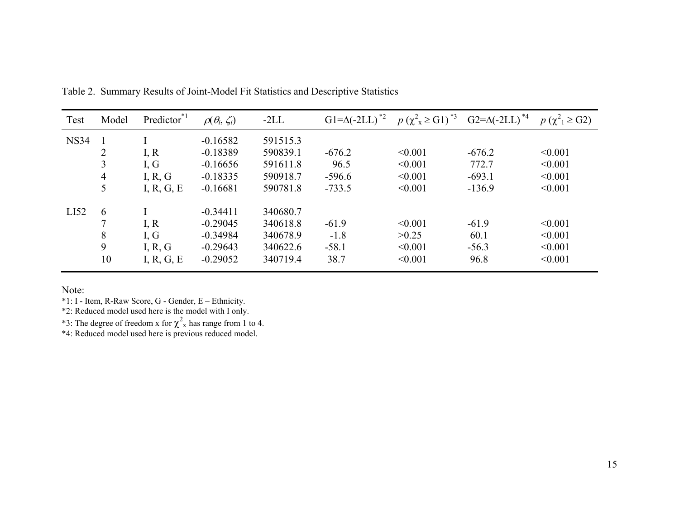| Test        | Model          | Predictor <sup>*1</sup> | $\rho(\theta_i, \zeta_i)$ | $-2LL$   | $G1 = \Delta (-2LL)^{2}$ | $p(\chi^2_{\chi} \geq G1)^{*3}$ | $G2 = \Delta (-2LL)^{*4}$ | $p(\chi^2) \geq G2$ |
|-------------|----------------|-------------------------|---------------------------|----------|--------------------------|---------------------------------|---------------------------|---------------------|
| <b>NS34</b> |                |                         | $-0.16582$                | 591515.3 |                          |                                 |                           |                     |
|             | $\overline{2}$ | I, R                    | $-0.18389$                | 590839.1 | $-676.2$                 | < 0.001                         | $-676.2$                  | < 0.001             |
|             | 3              | I, G                    | $-0.16656$                | 591611.8 | 96.5                     | < 0.001                         | 772.7                     | < 0.001             |
|             | 4              | I, R, G                 | $-0.18335$                | 590918.7 | $-596.6$                 | < 0.001                         | $-693.1$                  | < 0.001             |
|             | 5              | I, R, G, E              | $-0.16681$                | 590781.8 | $-733.5$                 | < 0.001                         | $-136.9$                  | < 0.001             |
| LI52        | 6              |                         | $-0.34411$                | 340680.7 |                          |                                 |                           |                     |
|             |                | I, R                    | $-0.29045$                | 340618.8 | $-61.9$                  | < 0.001                         | $-61.9$                   | < 0.001             |
|             | 8              | I, G                    | $-0.34984$                | 340678.9 | $-1.8$                   | >0.25                           | 60.1                      | < 0.001             |
|             | 9              | I, R, G                 | $-0.29643$                | 340622.6 | $-58.1$                  | < 0.001                         | $-56.3$                   | < 0.001             |
|             | 10             | I, R, G, E              | $-0.29052$                | 340719.4 | 38.7                     | < 0.001                         | 96.8                      | < 0.001             |

Table 2. Summary Results of Joint-Model Fit Statistics and Descriptive Statistics

Note:

\*1: I - Item, R-Raw Score, G - Gender, E – Ethnicity.

\*2: Reduced model used here is the model with I only.

\*3: The degree of freedom x for  $\chi^2$ <sub>x</sub> has range from 1 to 4.

\*4: Reduced model used here is previous reduced model.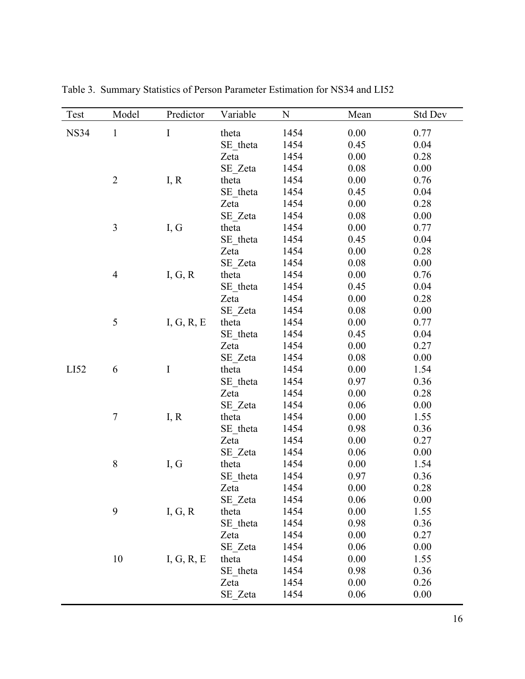| Test        | Model                    | Predictor  | Variable | $\mathbf N$ | Mean | <b>Std Dev</b> |
|-------------|--------------------------|------------|----------|-------------|------|----------------|
| <b>NS34</b> | $\mathbf{1}$             | $\bf I$    | theta    | 1454        | 0.00 | 0.77           |
|             |                          |            | SE theta | 1454        | 0.45 | 0.04           |
|             |                          |            | Zeta     | 1454        | 0.00 | 0.28           |
|             |                          |            | SE Zeta  | 1454        | 0.08 | 0.00           |
|             | $\overline{2}$           | I, R       | theta    | 1454        | 0.00 | 0.76           |
|             |                          |            | SE theta | 1454        | 0.45 | 0.04           |
|             |                          |            | Zeta     | 1454        | 0.00 | 0.28           |
|             |                          |            | SE Zeta  | 1454        | 0.08 | 0.00           |
|             | 3                        | I, G       | theta    | 1454        | 0.00 | 0.77           |
|             |                          |            | SE theta | 1454        | 0.45 | 0.04           |
|             |                          |            | Zeta     | 1454        | 0.00 | 0.28           |
|             |                          |            | SE Zeta  | 1454        | 0.08 | 0.00           |
|             | $\overline{\mathcal{A}}$ | I, G, R    | theta    | 1454        | 0.00 | 0.76           |
|             |                          |            | SE theta | 1454        | 0.45 | 0.04           |
|             |                          |            | Zeta     | 1454        | 0.00 | 0.28           |
|             |                          |            | SE Zeta  | 1454        | 0.08 | 0.00           |
|             | $\mathfrak s$            | I, G, R, E | theta    | 1454        | 0.00 | 0.77           |
|             |                          |            | SE theta | 1454        | 0.45 | 0.04           |
|             |                          |            | Zeta     | 1454        | 0.00 | 0.27           |
|             |                          |            | SE Zeta  | 1454        | 0.08 | 0.00           |
| LI52        | 6                        | $\rm I$    | theta    | 1454        | 0.00 | 1.54           |
|             |                          |            | SE theta | 1454        | 0.97 | 0.36           |
|             |                          |            | Zeta     | 1454        | 0.00 | 0.28           |
|             |                          |            | SE Zeta  | 1454        | 0.06 | 0.00           |
|             | $\tau$                   | I, R       | theta    | 1454        | 0.00 | 1.55           |
|             |                          |            | SE theta | 1454        | 0.98 | 0.36           |
|             |                          |            | Zeta     | 1454        | 0.00 | 0.27           |
|             |                          |            | SE Zeta  | 1454        | 0.06 | 0.00           |
|             | $8\,$                    | I, G       | theta    | 1454        | 0.00 | 1.54           |
|             |                          |            | SE theta | 1454        | 0.97 | 0.36           |
|             |                          |            | Zeta     | 1454        | 0.00 | 0.28           |
|             |                          |            | SE Zeta  | 1454        | 0.06 | 0.00           |
|             | 9                        | I, G, R    | theta    | 1454        | 0.00 | 1.55           |
|             |                          |            | SE_theta | 1454        | 0.98 | 0.36           |
|             |                          |            | Zeta     | 1454        | 0.00 | 0.27           |
|             |                          |            | SE Zeta  | 1454        | 0.06 | 0.00           |
|             | 10                       | I, G, R, E | theta    | 1454        | 0.00 | 1.55           |
|             |                          |            | SE theta | 1454        | 0.98 | 0.36           |
|             |                          |            | Zeta     | 1454        | 0.00 | 0.26           |
|             |                          |            | SE Zeta  | 1454        | 0.06 | 0.00           |

Table 3. Summary Statistics of Person Parameter Estimation for NS34 and LI52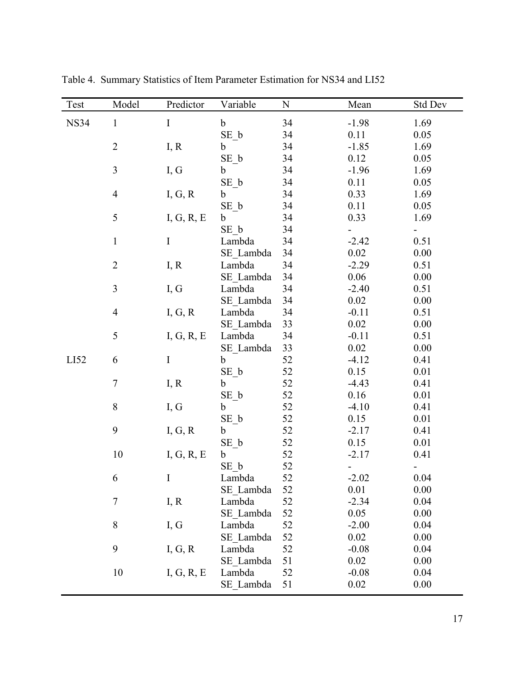| Test        | Model            | Predictor  | Variable    | ${\bf N}$ | Mean    | <b>Std Dev</b> |
|-------------|------------------|------------|-------------|-----------|---------|----------------|
| <b>NS34</b> | $\mathbf{1}$     | $\rm I$    | $\mathbf b$ | 34        | $-1.98$ | 1.69           |
|             |                  |            | $SE_b$      | 34        | 0.11    | 0.05           |
|             | $\sqrt{2}$       | I, R       | $\mathbf b$ | 34        | $-1.85$ | 1.69           |
|             |                  |            | SE b        | 34        | 0.12    | 0.05           |
|             | $\mathfrak{Z}$   | I, G       | b           | 34        | $-1.96$ | 1.69           |
|             |                  |            | $SE_b$      | 34        | 0.11    | 0.05           |
|             | $\overline{4}$   | I, G, R    | b           | 34        | 0.33    | 1.69           |
|             |                  |            | $SE_b$      | 34        | 0.11    | 0.05           |
|             | 5                | I, G, R, E | $\mathbf b$ | 34        | 0.33    | 1.69           |
|             |                  |            | SE b        | 34        |         |                |
|             | $\mathbf{1}$     | $\bf I$    | Lambda      | 34        | $-2.42$ | 0.51           |
|             |                  |            | SE Lambda   | 34        | 0.02    | 0.00           |
|             | $\sqrt{2}$       | I, R       | Lambda      | 34        | $-2.29$ | 0.51           |
|             |                  |            | SE Lambda   | 34        | 0.06    | 0.00           |
|             | $\mathfrak{Z}$   | I, G       | Lambda      | 34        | $-2.40$ | 0.51           |
|             |                  |            | SE Lambda   | 34        | 0.02    | 0.00           |
|             | $\overline{4}$   | I, G, R    | Lambda      | 34        | $-0.11$ | 0.51           |
|             |                  |            | SE Lambda   | 33        | 0.02    | 0.00           |
|             | 5                | I, G, R, E | Lambda      | 34        | $-0.11$ | 0.51           |
|             |                  |            | SE Lambda   | 33        | 0.02    | 0.00           |
| LI52        | 6                | $\rm I$    | $\mathbf b$ | 52        | $-4.12$ | 0.41           |
|             |                  |            | $SE_b$      | 52        | 0.15    | 0.01           |
|             | $\boldsymbol{7}$ | I, R       | b           | 52        | $-4.43$ | 0.41           |
|             |                  |            | $SE_b$      | 52        | 0.16    | 0.01           |
|             | $8\,$            | I, G       | b           | 52        | $-4.10$ | 0.41           |
|             |                  |            | $SE_b$      | 52        | 0.15    | 0.01           |
|             | 9                | I, G, R    | $\mathbf b$ | 52        | $-2.17$ | 0.41           |
|             |                  |            | $SE_b$      | 52        | 0.15    | 0.01           |
|             | 10               | I, G, R, E | $\mathbf b$ | 52        | $-2.17$ | 0.41           |
|             |                  |            | $SE_b$      | 52        |         |                |
|             | 6                |            | Lambda      | 52        | $-2.02$ | 0.04           |
|             |                  |            | SE Lambda   | 52        | 0.01    | 0.00           |
|             | $\boldsymbol{7}$ | I, R       | Lambda      | 52        | $-2.34$ | 0.04           |
|             |                  |            | SE Lambda   | 52        | 0.05    | 0.00           |
|             | 8                | I, G       | Lambda      | 52        | $-2.00$ | 0.04           |
|             |                  |            | SE Lambda   | 52        | 0.02    | 0.00           |
|             | 9                | I, G, R    | Lambda      | 52        | $-0.08$ | 0.04           |
|             |                  |            | SE Lambda   | 51        | 0.02    | 0.00           |
|             | 10               | I, G, R, E | Lambda      | 52        | $-0.08$ | 0.04           |
|             |                  |            | SE Lambda   | 51        | 0.02    | 0.00           |

Table 4. Summary Statistics of Item Parameter Estimation for NS34 and LI52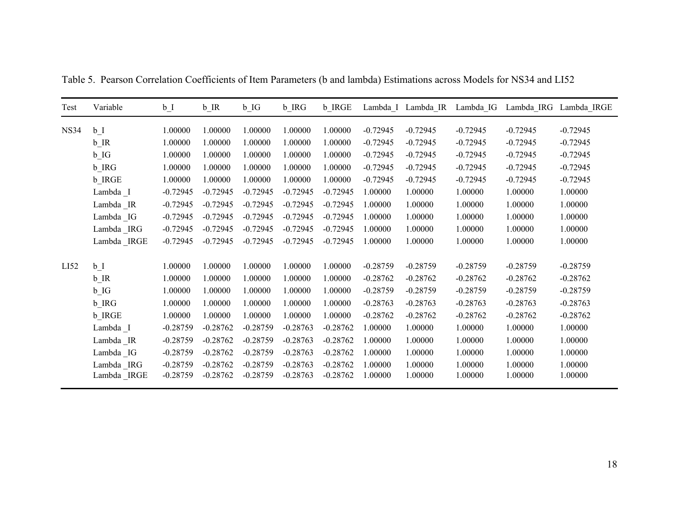| Test        | Variable          | $b_1$      | $b$ <sub>IR</sub> | $b$ <sub>IG</sub> | b IRG      | <b>b</b> IRGE |            | Lambda I Lambda IR Lambda IG |            |            | Lambda IRG Lambda IRGE |
|-------------|-------------------|------------|-------------------|-------------------|------------|---------------|------------|------------------------------|------------|------------|------------------------|
| <b>NS34</b> | $b_1$             | 1.00000    | 1.00000           | 1.00000           | 1.00000    | 1.00000       | $-0.72945$ | $-0.72945$                   | $-0.72945$ | $-0.72945$ | $-0.72945$             |
|             | $b$ <sub>IR</sub> | 1.00000    | 1.00000           | 1.00000           | 1.00000    | 1.00000       | $-0.72945$ | $-0.72945$                   | $-0.72945$ | $-0.72945$ | $-0.72945$             |
|             | $b$ <sub>IG</sub> | 1.00000    | 1.00000           | 1.00000           | 1.00000    | 1.00000       | $-0.72945$ | $-0.72945$                   | $-0.72945$ | $-0.72945$ | $-0.72945$             |
|             | b_IRG             | 1.00000    | 1.00000           | 1.00000           | 1.00000    | 1.00000       | $-0.72945$ | $-0.72945$                   | $-0.72945$ | $-0.72945$ | $-0.72945$             |
|             | <b>b</b> IRGE     | 1.00000    | 1.00000           | 1.00000           | 1.00000    | 1.00000       | $-0.72945$ | $-0.72945$                   | $-0.72945$ | $-0.72945$ | $-0.72945$             |
|             | Lambda _I         | $-0.72945$ | $-0.72945$        | $-0.72945$        | $-0.72945$ | $-0.72945$    | 1.00000    | 1.00000                      | 1.00000    | 1.00000    | 1.00000                |
|             | Lambda_IR         | $-0.72945$ | $-0.72945$        | $-0.72945$        | $-0.72945$ | $-0.72945$    | 1.00000    | 1.00000                      | 1.00000    | 1.00000    | 1.00000                |
|             | Lambda IG         | $-0.72945$ | $-0.72945$        | $-0.72945$        | $-0.72945$ | $-0.72945$    | 1.00000    | 1.00000                      | 1.00000    | 1.00000    | 1.00000                |
|             | Lambda _IRG       | $-0.72945$ | $-0.72945$        | $-0.72945$        | $-0.72945$ | $-0.72945$    | 1.00000    | 1.00000                      | 1.00000    | 1.00000    | 1.00000                |
|             | Lambda _IRGE      | $-0.72945$ | $-0.72945$        | $-0.72945$        | $-0.72945$ | $-0.72945$    | 1.00000    | 1.00000                      | 1.00000    | 1.00000    | 1.00000                |
| LI52        | $b_{I}$           | 1.00000    | 1.00000           | 1.00000           | 1.00000    | 1.00000       | $-0.28759$ | $-0.28759$                   | $-0.28759$ | $-0.28759$ | $-0.28759$             |
|             | $b$ <sub>IR</sub> | 1.00000    | 1.00000           | 1.00000           | 1.00000    | 1.00000       | $-0.28762$ | $-0.28762$                   | $-0.28762$ | $-0.28762$ | $-0.28762$             |
|             | $b$ <sub>IG</sub> | 1.00000    | 1.00000           | 1.00000           | 1.00000    | 1.00000       | $-0.28759$ | $-0.28759$                   | $-0.28759$ | $-0.28759$ | $-0.28759$             |
|             | b_IRG             | 1.00000    | 1.00000           | 1.00000           | 1.00000    | 1.00000       | $-0.28763$ | $-0.28763$                   | $-0.28763$ | $-0.28763$ | $-0.28763$             |
|             | <b>b</b> IRGE     | 1.00000    | 1.00000           | 1.00000           | 1.00000    | 1.00000       | $-0.28762$ | $-0.28762$                   | $-0.28762$ | $-0.28762$ | $-0.28762$             |
|             | Lambda I          | $-0.28759$ | $-0.28762$        | $-0.28759$        | $-0.28763$ | $-0.28762$    | 1.00000    | 1.00000                      | 1.00000    | 1.00000    | 1.00000                |
|             | Lambda IR         | $-0.28759$ | $-0.28762$        | $-0.28759$        | $-0.28763$ | $-0.28762$    | 1.00000    | 1.00000                      | 1.00000    | 1.00000    | 1.00000                |
|             | Lambda IG         | $-0.28759$ | $-0.28762$        | $-0.28759$        | $-0.28763$ | $-0.28762$    | 1.00000    | 1.00000                      | 1.00000    | 1.00000    | 1.00000                |
|             | Lambda IRG        | $-0.28759$ | $-0.28762$        | $-0.28759$        | $-0.28763$ | $-0.28762$    | 1.00000    | 1.00000                      | 1.00000    | 1.00000    | 1.00000                |
|             | Lambda _IRGE      | $-0.28759$ | $-0.28762$        | $-0.28759$        | $-0.28763$ | $-0.28762$    | 1.00000    | 1.00000                      | 1.00000    | 1.00000    | 1.00000                |

Table 5. Pearson Correlation Coefficients of Item Parameters (b and lambda) Estimations across Models for NS34 and LI52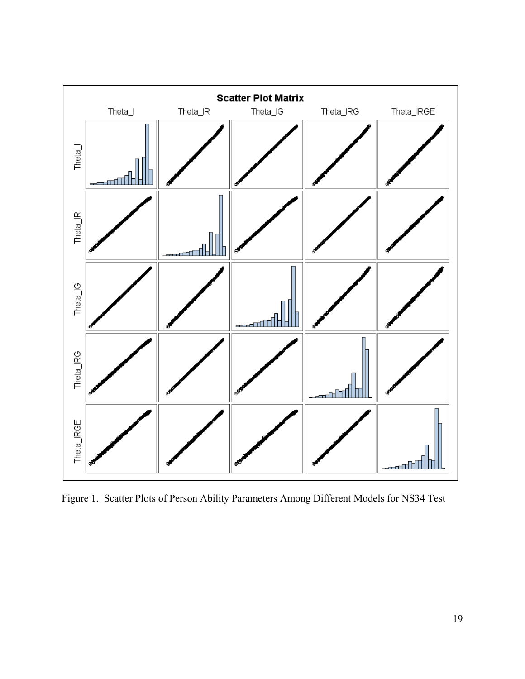

Figure 1. Scatter Plots of Person Ability Parameters Among Different Models for NS34 Test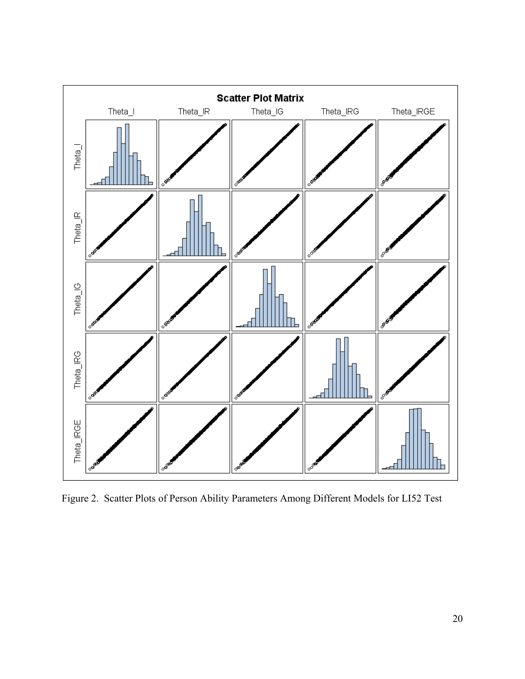

Figure 2. Scatter Plots of Person Ability Parameters Among Different Models for LI52 Test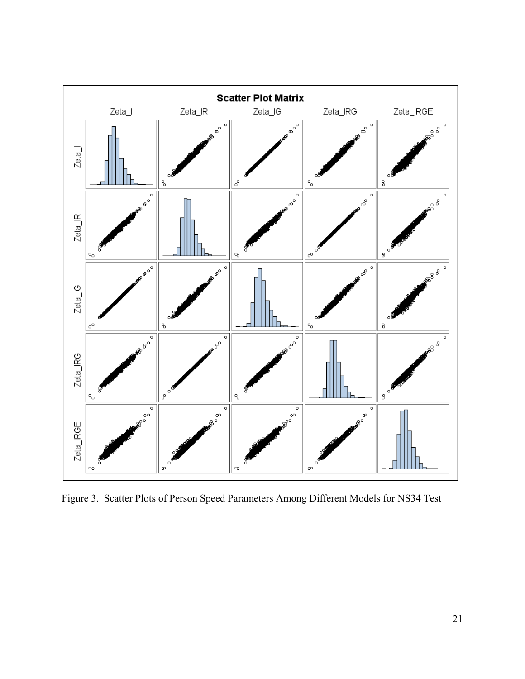

Figure 3. Scatter Plots of Person Speed Parameters Among Different Models for NS34 Test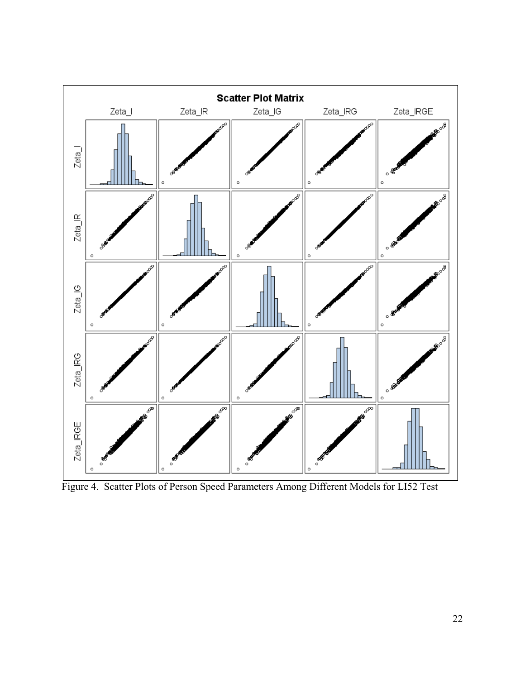

Figure 4. Scatter Plots of Person Speed Parameters Among Different Models for LI52 Test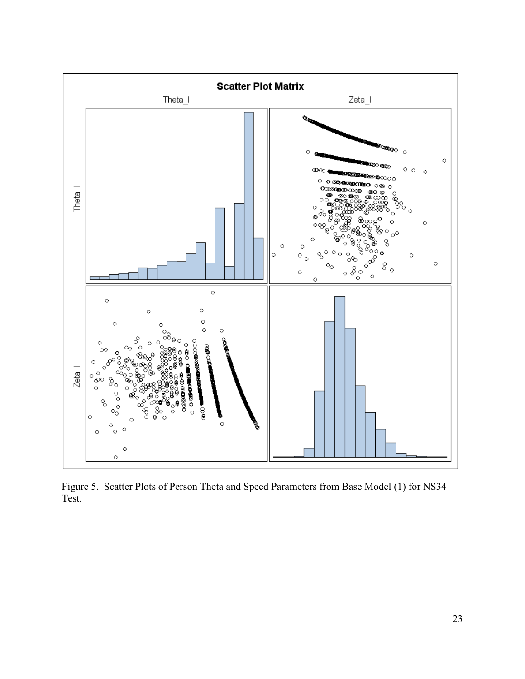

Figure 5. Scatter Plots of Person Theta and Speed Parameters from Base Model (1) for NS34 Test.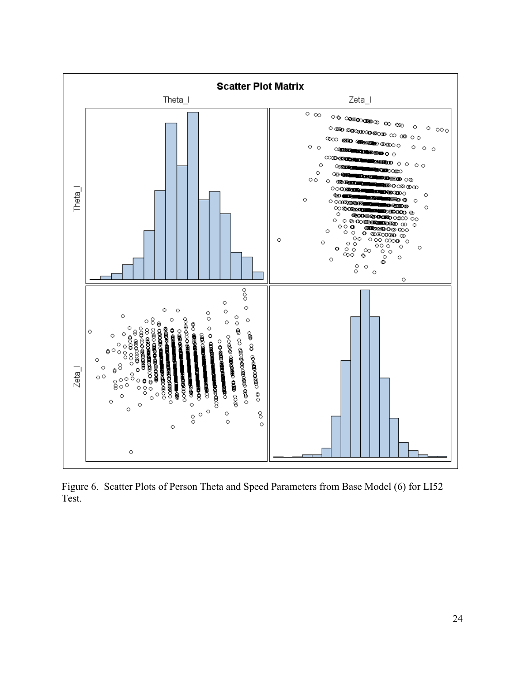

Figure 6. Scatter Plots of Person Theta and Speed Parameters from Base Model (6) for LI52 Test.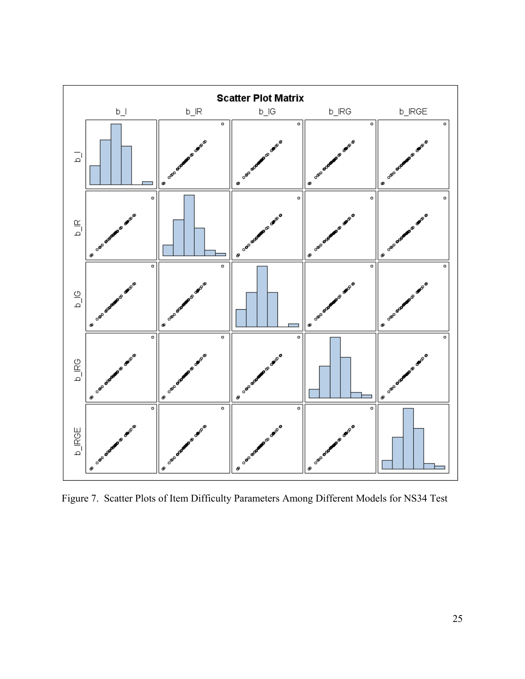

Figure 7. Scatter Plots of Item Difficulty Parameters Among Different Models for NS34 Test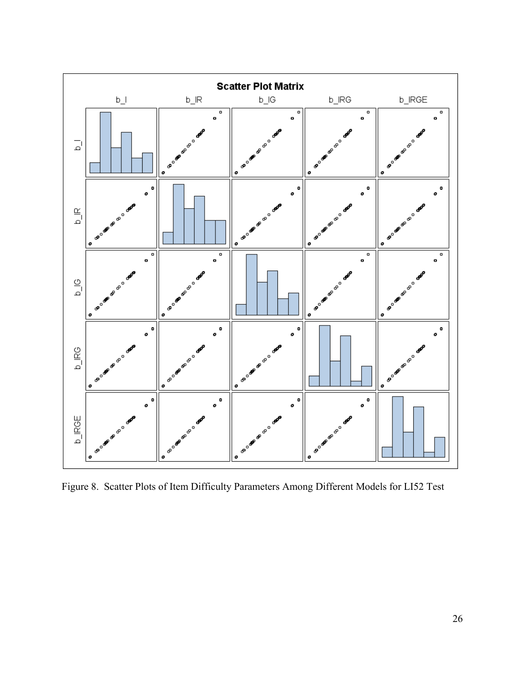

Figure 8. Scatter Plots of Item Difficulty Parameters Among Different Models for LI52 Test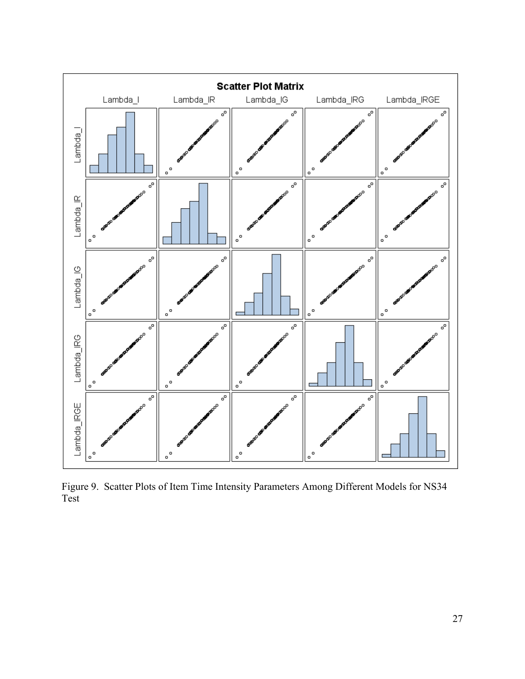

Figure 9. Scatter Plots of Item Time Intensity Parameters Among Different Models for NS34 Test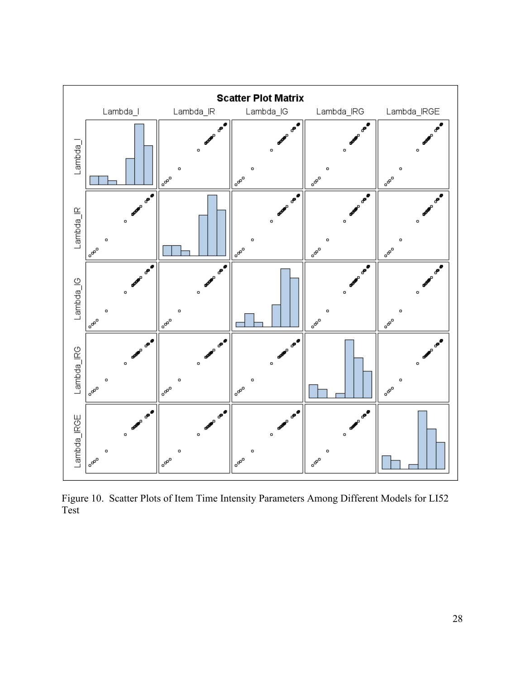

Figure 10. Scatter Plots of Item Time Intensity Parameters Among Different Models for LI52 Test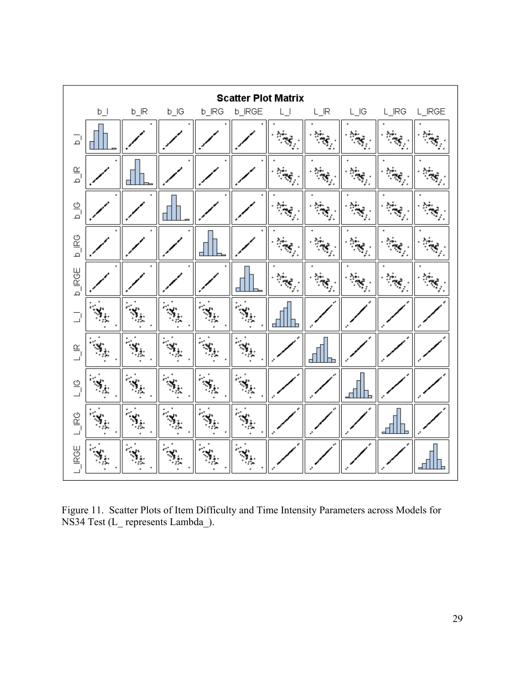

Figure 11. Scatter Plots of Item Difficulty and Time Intensity Parameters across Models for NS34 Test (L\_ represents Lambda\_).